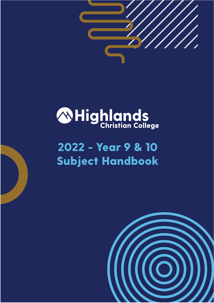

# **ANHighlands**

# 2022 - Year 9 & 10 **Subject Handbook**

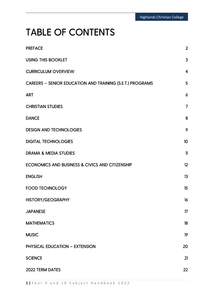### TABLE OF CONTENTS

| <b>PREFACE</b>                                                   | $\overline{2}$          |
|------------------------------------------------------------------|-------------------------|
| <b>USING THIS BOOKLET</b>                                        | 3                       |
| <b>CURRICULUM OVERVIEW</b>                                       | $\overline{\mathbf{4}}$ |
| <b>CAREERS - SENIOR EDUCATION AND TRAINING (S.E.T.) PROGRAMS</b> | 5                       |
| <b>ART</b>                                                       | $\ddot{\delta}$         |
| <b>CHRISTIAN STUDIES</b>                                         | $\overline{7}$          |
| <b>DANCE</b>                                                     | 8                       |
| <b>DESIGN AND TECHNOLOGIES</b>                                   | 9                       |
| <b>DIGITAL TECHNOLOGIES</b>                                      | 10                      |
| <b>DRAMA &amp; MEDIA STUDIES</b>                                 | $\mathbf{1}$            |
| ECONOMICS AND BUSINESS & CIVICS AND CITIZENSHIP                  | 12                      |
| <b>ENGLISH</b>                                                   | 13                      |
| <b>FOOD TECHNOLOGY</b>                                           | 15                      |
| HISTORY/GEOGRAPHY                                                | 16                      |
| <b>JAPANESE</b>                                                  | 17                      |
| <b>MATHEMATICS</b>                                               | 18                      |
| <b>MUSIC</b>                                                     | 19                      |
| <b>PHYSICAL EDUCATION - EXTENSION</b>                            | 20                      |
| <b>SCIENCE</b>                                                   | 21                      |
| 2022 TERM DATES                                                  | 22                      |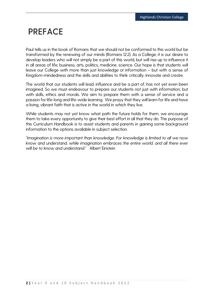### <span id="page-2-0"></span>**PREFACE**

Paul tells us in the book of Romans that we should not be conformed to this world but be transformed by the renewing of our minds (Romans 12:2). As a College, it is our desire to develop leaders who will not simply be a part of this world, but will rise up to influence it in all areas of life; business, arts, politics, medicine, science. Our hope is that students will leave our College with more than just knowledge or information – but with a sense of Kingdom-mindedness and the skills and abilities to think critically, innovate and create.

The world that our students will lead, influence and be a part of, has not yet even been imagined. So we must endeavour to prepare our students not just with information, but with skills, ethics and morals. We aim to prepare them with a sense of service and a passion for life-long and life-wide learning. We prayy that they will learn for life and have a living, vibrant faith that is active in the world in which they live.

While students may not yet know what path the future holds for them, we encourage them to take every opportunity to give their best effort in all that they do. The purpose of this Curriculum Handbook is to assist students and parents in gaining some background information to the options available in subject selection.

*"Imagination is more important than knowledge. For knowledge is limited to all we now know and understand, while imagination embraces the entire world, and all there ever will be to know and understand."* Albert Einstein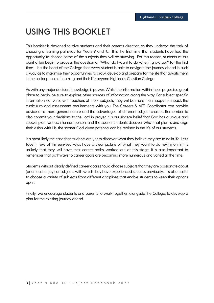### <span id="page-3-0"></span>**USING THIS BOOKLET**

This booklet is designed to give students and their parents direction as they undergo the task of choosing a learning pathway for Years 9 and 10. It is the first time that students have had the opportunity to choose some of the subjects they will be studying. For this reason, students at this point often begin to process the question of "What do I want to do when I grow up?" for the first time. It is the heart of the College that every student is able to navigate the journey ahead in such a way as to maximise their opportunities to grow, develop and prepare for the life that awaits them in the senior phase of learning and their life beyond Highlands Christian College.

As with any major decision, knowledge is power. Whilst the information within these pages is a great place to begin, be sure to explore other sources of information along the way. For subject specific information, converse with teachers of those subjects; they will be more than happy to unpack the curriculum and assessment requirements with you. The Careers & VET Coordinator can provide advice of a more general nature and the advantages of different subject choices. Remember to also commit your decisions to the Lord in prayer. It is our sincere belief that God has a unique and special plan for each human person, and the sooner students discover what that plan is and align their vision with His, the sooner God-given potential can be realised in the life of our students.

It is most likely the case that students are yet to discover what they believe they are to do in life. Let's face it, few of thirteen-year-olds have a clear picture of what they want to do next month; it is unlikely that they will have their career paths worked out at this stage. It is also important to remember that pathways to career goals are becoming more numerous and varied all the time.

Students without clearly defined career goals should choose subjects that they are passionate about (or at least enjoy), or subjects with which they have experienced success previously. It is also useful to choose a variety of subjects from different disciplines that enable students to keep their options open.

Finally, we encourage students and parents to work together, alongside the College, to develop a plan for the exciting journey ahead.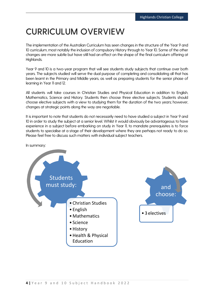### <span id="page-4-0"></span>**CURRICULUM OVERVIEW**

The implementation of the Australian Curriculum has seen changes in the structure of the Year 9 and 10 curriculum, most notably the inclusion of compulsory History through to Year 10. Some of the other changes are more subtle but have still had an effect on the shape of the final curriculum offering at Highlands.

Year 9 and 10 is a two-year program that will see students study subjects that continue over both years. The subjects studied will serve the dual purpose of completing and consolidating all that has been learnt in the Primary and Middle years, as well as preparing students for the senior phase of learning in Year 11 and 12.

All students will take courses in Christian Studies and Physical Education in addition to English, Mathematics, Science and History. Students then choose three elective subjects. Students should choose elective subjects with a view to studying them for the duration of the two years; however, changes at strategic points along the way are negotiable.

It is important to note that students do not necessarily need to have studied a subject in Year 9 and 10 in order to study the subject at a senior level. Whilst it would obviously be advantageous to have experience in a subject before embarking on study in Year 11, to mandate prerequisites is to force students to specialise at a stage of their development where they are perhaps not ready to do so. Please feel free to discuss such matters with individual subject teachers.

In summary:



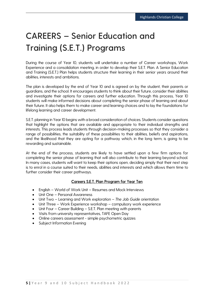### <span id="page-5-0"></span>**CAREERS – Senior Education and Training (S.E.T.) Programs**

During the course of Year 10, students will undertake a number of Career workshops, Work Experience and a consolidation meeting, in order to develop their S.E.T. Plan. A Senior Education and Training (S.E.T.) Plan helps students structure their learning in their senior years around their abilities, interests and ambitions.

The plan is developed by the end of Year 10 and is agreed on by the student, their parents or guardians, and the school. It encourages students to think about their future, consider their abilities and investigate their options for careers and further education. Through this process, Year 10 students will make informed decisions about completing the senior phase of learning and about their future. It also helps them to make career and learning choices and to lay the foundations for lifelong learning and career development.

S.E.T. planning in Year 10 begins with a broad consideration of choices. Students consider questions that highlight the options that are available and appropriate to their individual strengths and interests. This process leads students through decision-making processes so that they consider a range of possibilities, the suitability of these possibilities to their abilities, beliefs and aspirations, and the likelihood that they are opting for a pathway which, in the long term, is going to be rewarding and sustainable.

At the end of the process, students are likely to have settled upon a few firm options for completing the senior phase of learning that will also contribute to their learning beyond school. In many cases, students will want to keep their options open, deciding simply that their next step is to enrol in a course suited to their needs, abilities and interests and which allows them time to further consider their career pathways.

#### Careers S.E.T. Plan Program for Year Ten

- English World of Work Unit Resumes and Mock Interviews
- Unit One Personal Awareness
- Unit Two Learning and Work exploration *The Job Guide* orientation
- Unit Three Work Experience workshop compulsory work experience
- Unit Four Career Building S.E.T. Plan meeting with parents
- Visits from university representatives, TAFE Open Day
- Online careers assessment simple psychometric quizzes
- Subject Information Evening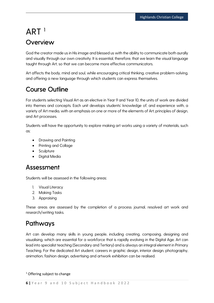### <span id="page-6-0"></span>**ART <sup>1</sup> Overview**

God the creator made us in His image and blessed us with the ability to communicate both aurally and visually through our own creativity. It is essential, therefore, that we learn the visual language taught through Art, so that we can become more effective communicators.

Art affects the body, mind and soul, while encouraging critical thinking, creative problem-solving, and offering a new language through which students can express themselves.

### Course Outline

For students selecting Visual Art as an elective in Year 9 and Year 10, the units of work are divided into themes and concepts. Each unit develops students' knowledge of, and experience with, a variety of Art media, with an emphasis on one or more of the elements of Art, principles of design, and Art processes.

Students will have the opportunity to explore making art works using a variety of materials, such as:

- Drawing and Painting
- Printing and Collage
- Sculpture
- Digital Media

### Assessment

Students will be assessed in the following areas:

- 1. Visual Literacy
- 2. Making Tasks
- 3. Appraising

These areas are assessed by the completion of a process journal, resolved art work and research/writing tasks.

### Pathways

Art can develop many skills in young people, including creating, composing, designing and visualising, which are essential for a workforce that is rapidly evolving in the Digital Age. Art can lead into specialist teaching (Secondary and Tertiary) and is always an integral element in Primary Teaching. For the dedicated Art student, careers in graphic design, interior design, photography, animation, fashion design, advertising and artwork exhibition can be realised.

<sup>1</sup> Offering subject to change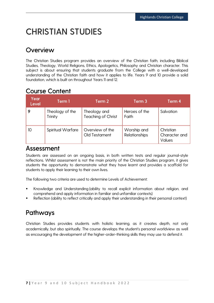### <span id="page-7-0"></span>**CHRISTIAN STUDIES**

### **Overview**

The Christian Studies program provides an overview of the Christian faith, including Biblical Studies, Theology, World Religions, Ethics, Apologetics, Philosophy and Christian character. This subject is about ensuring that students graduate from the College with a well-developed understanding of the Christian faith and how it applies to life. Years 9 and 10 provide a solid foundation, which is built on throughout Years 11 and 12.

### Course Content

| Year<br><b>Level</b> | Term 1                     | Term 2                                    | Term 3                       | Term 4                               |
|----------------------|----------------------------|-------------------------------------------|------------------------------|--------------------------------------|
|                      | Theology of the<br>Trinity | Theology and<br><b>Teaching of Christ</b> | Heroes of the<br>Faith       | Salvation                            |
| 10                   | Spiritual Warfare          | Overview of the<br>Old Testament          | Worship and<br>Relationships | Christian<br>Character and<br>Values |

Assessment<br>Students are assessed on an ongoing basis, in both written tests and regular journal-style reflections. Whilst assessment is not the main priority of the Christian Studies program, it gives students the opportunity to demonstrate what they have learnt and provides a scaffold for students to apply their learning to their own lives.

The following two criteria are used to determine Levels of Achievement:

- Knowledge and Understanding (ability to recall explicit information about religion, and comprehend and apply information in familiar and unfamiliar contexts)
- Reflection (ability to reflect critically and apply their understanding in their personal context)

### Pathways

Christian Studies provides students with holistic learning, as it creates depth, not only academically, but also spiritually. The course develops the student's personal worldview as well as encouraging the development of the higher-order-thinking skills they may use to defend it.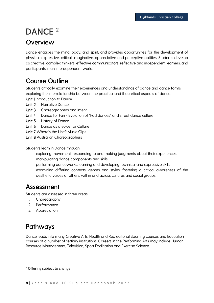### <span id="page-8-0"></span>**DANCE <sup>2</sup>**

### **Overview**

Dance engages the mind, body, and spirit, and provides opportunities for the development of physical, expressive, critical, imaginative, appreciative and perceptive abilities. Students develop as creative, complex thinkers, effective communicators, reflective and independent learners, and participants in an interdependent world.

### Course Outline

Students critically examine their experiences and understandings of dance and dance forms, exploring the interrelationship between the practical and theoretical aspects of dance.

Unit 1 Introduction to Dance

- Unit 2 Narrative Dance
- Unit 3 Choreographers and Intent
- Unit 4 Dance for Fun Evolution of "Fad dances" and street dance culture
- Unit 5 History of Dance
- Unit 6 Dance as a voice for Culture
- Unit 7 Where's the Line? Music Clips

Unit 8 Australian Choreographers

Students learn in Dance through:

- exploring movement, responding to and making judgments about their experiences
- manipulating dance components and skills
- performing danceworks, learning and developing technical and expressive skills
- examining differing contexts, genres and styles, fostering a critical awareness of the aesthetic values of others, within and across cultures and social groups.

**Assessment**<br>Students are assessed in three areas:

- 1. Choreography
- 2. Performance
- 3. Appreciation

### Pathways

Dance leads into many Creative Arts, Health and Recreational Sporting courses and Education courses at a number of tertiary institutions. Careers in the Performing Arts may include Human Resource Management, Television, Sport Facilitation and Exercise Science.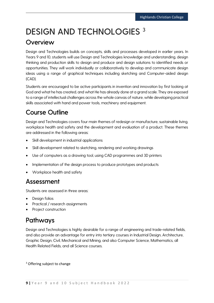### <span id="page-9-0"></span>**DESIGN AND TECHNOLOGIES 3**

### **Overview**

Design and Technologies builds on concepts, skills and processes developed in earlier years. In Years 9 and 10, students will use Design and Technologies knowledge and understanding, design thinking and production skills to design and produce and design solutions to identified needs or opportunities. They will work individually or collaboratively to develop and communicate design ideas using a range of graphical techniques including sketching and Computer-aided design (CAD).

Students are encouraged to be active participants in invention and innovation by first looking at God and what he has created, and what He has already done at a grand scale. They are exposed to a range of intellectual challenges across the whole canvas of nature, while developing practical skills associated with hand and power tools, machinery and equipment.

### Course Outline

Design and Technologies covers four main themes of redesign or manufacture, sustainable living, workplace health and safety and the development and evaluation of a product. These themes are addressed in the following areas:

- Skill development in industrial applications
- Skill development related to sketching, rendering and working drawings
- Use of computers as a drawing tool, using CAD programmes and 3D printers
- Implementation of the design process to produce prototypes and products
- Workplace health and safety

### Assessment

Students are assessed in three areas:

- Design folios
- Practical / research assignments
- Project construction

### Pathways

Design and Technologies is highly desirable for a range of engineering and trade-related fields, and also provide an advantage for entry into tertiary courses in Industrial Design, Architecture, Graphic Design, Civil, Mechanical and Mining, and also Computer Science, Mathematics, all Health Related Fields, and all Science courses.

<sup>3</sup> Offering subject to change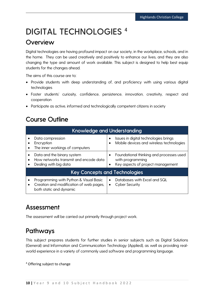### <span id="page-10-0"></span>**DIGITAL TECHNOLOGIES <sup>4</sup>**

### **Overview**

Digital technologies are having profound impact on our society, in the workplace, schools, and in the home. They can be used creatively and positively to enhance our lives, and they are also changing the type and amount of work available. This subject is designed to help best equip students for the changes ahead.

The aims of this course are to:

- Provide students with deep understanding of, and proficiency with using various digital technologies
- Foster students' curiosity, confidence, persistence, innovation, creativity, respect and cooperation
- Participate as active, informed and technologically competent citizens in society

### Course Outline

| Knowledge and Understanding                                                                                               |                                                                                                   |  |
|---------------------------------------------------------------------------------------------------------------------------|---------------------------------------------------------------------------------------------------|--|
| Data compression<br>Encryption<br>The inner workings of computers                                                         | Issues in digital technologies brings<br>Mobile devices and wireless technologies                 |  |
| Data and the binary system<br>How networks transmit and encode data<br>Dealing with big data                              | Foundational thinking and processes used<br>with programming<br>Key aspects of project management |  |
| <b>Key Concepts and Technologies</b>                                                                                      |                                                                                                   |  |
| Programming with Python & Visual Basic<br>Creation and modification of web pages,<br>$\bullet$<br>both static and dynamic | Databases with Excel and SQL<br><b>Cyber Security</b>                                             |  |

### Assessment

The assessment will be carried out primarily through project work.

### Pathways

This subject prepares students for further studies in senior subjects such as Digital Solutions (General) and Information and Communication Technology (Applied), as well as providing realworld experience in a variety of commonly used software and programming language.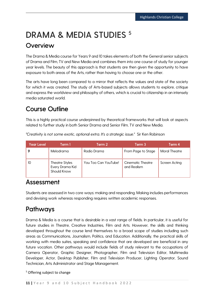### <span id="page-11-0"></span>**DRAMA & MEDIA STUDIES <sup>5</sup> Overview**

The Drama & Media course for Years 9 and 10 takes elements of both the General senior subjects of Drama and Film, TV and New Media and combines them into one course of study for younger year levels. The beauty of this approach is that students are then given the opportunity to have exposure to both areas of the Arts, rather than having to choose one or the other.

The arts have long been compared to a mirror that reflects the values and state of the society for which it was created. The study of Arts-based subjects allows students to explore, critique and express the worldview and philosophy of others, which is crucial to citizenship in an intensely media saturated world.

### Course Outline

This is a highly practical course underpinned by theoretical frameworks that will look at aspects related to further study in both Senior Drama and Senior Film, TV and New Media.

| <b>Year Level</b> | Term 1                                                  | Term 2               | Term 3                           | Term 4               |
|-------------------|---------------------------------------------------------|----------------------|----------------------------------|----------------------|
|                   | Melodrama                                               | Radio Drama          | From Page to Stage               | <b>Moral Theatre</b> |
| 10                | <b>Theatre Styles</b><br>Every Drama Kid<br>Should Know | You Too Can YouTube! | Cinematic Theatre<br>and Realism | Screen Acting        |

*"Creativity is not some exotic, optional extra. It's a strategic issue."* Sir Ken Robinson

### Assessment

Students are assessed in two core ways: making and responding. Making includes performances and devising work whereas responding requires written academic responses.

### Pathways

Drama & Media is a course that is desirable in a vast range of fields. In particular, it is useful for future studies in Theatre, Creative Industries, Film and Arts. However, the skills and thinking developed throughout the course lend themselves to a broad scope of studies including such areas as Communications, Journalism, Politics, and Education. Additionally, the practical skills of working with media suites, speaking and confidence that are developed are beneficial in any future vocation. Other pathways would include fields of study relevant to the occupations of Camera Operator, Graphic Designer, Photographer, Film and Television Editor, Multimedia Developer, Actor, Desktop Publisher, Film and Television Producer, Lighting Operator, Sound Technician, Arts Administrator and Stage Management.

<sup>5</sup> Offering subject to change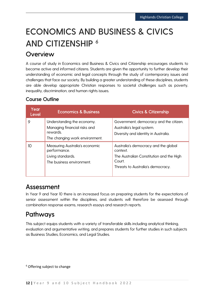## <span id="page-12-0"></span>**ECONOMICS AND BUSINESS & CIVICS AND CITIZENSHIP <sup>6</sup>**

### Overview

A course of study in Economics and Business & Civics and Citizenship encourages students to become active and informed citizens. Students are given the opportunity to further develop their understanding of economic and legal concepts through the study of contemporary issues and challenges that face our society. By building a greater understanding of these disciplines, students are able develop appropriate Christian responses to societal challenges such as poverty, inequality, discrimination, and human rights issues.

#### Course Outline

| Year<br>Level | <b>Economics &amp; Business</b>                                                                          | <b>Civics &amp; Citizenship</b>                                                                                                             |
|---------------|----------------------------------------------------------------------------------------------------------|---------------------------------------------------------------------------------------------------------------------------------------------|
| 9             | Understanding the economy.<br>Managing financial risks and<br>rewards.<br>The changing work environment. | Government, democracy and the citizen.<br>Australia's legal system.<br>Diversity and identity in Australia.                                 |
| 10            | Measuring Australia's economic<br>performance.<br>Living standards.<br>The business environment.         | Australia's democracy and the global<br>context.<br>The Australian Constitution and the High<br>Court.<br>Threats to Australia's democracy. |

### Assessment

In Year 9 and Year 10 there is an increased focus on preparing students for the expectations of senior assessment within the disciplines, and students will therefore be assessed through combination response exams, research essays and research reports.

### Pathways

This subject equips students with a variety of transferable skills including analytical thinking, evaluation and argumentative writing, and prepares students for further studies in such subjects as Business Studies, Economics, and Legal Studies.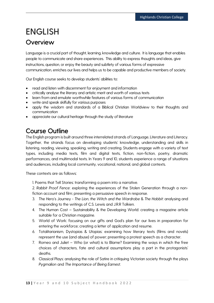### <span id="page-13-0"></span>**ENGLISH**

### **Overview**

Language is a crucial part of thought, learning, knowledge and culture. It is language that enables people to communicate and share experiences. This ability to express thoughts and ideas, give instructions, question, or enjoy the beauty and subtlety of various forms of expressive communication, enriches our lives and helps us to be capable and productive members of society.

Our English course seeks to develop students' abilities to:

- read and listen with discernment for enjoyment and information
- critically analyse the literary and artistic merit and worth of various texts
- learn from and emulate worthwhile features of various forms of communication
- write and speak skilfully for various purposes
- apply the wisdom and standards of a Biblical Christian Worldview to their thoughts and communication
- appreciate our cultural heritage through the study of literature

### Course Outline

The English program is built around three interrelated strands of Language, Literature and Literacy. Together, the strands focus on developing students' knowledge, understanding and skills in listening, reading, viewing, speaking, writing and creating. Students engage with a variety of text types, including media texts, film and digital texts, fiction, non-fiction, poetry, dramatic performances, and multimodal texts. In Years 9 and 10, students experience a range of situations and audiences, including local community, vocational, national, and global contexts.

These contexts are as follows:

1. Poems that Tell Stories: transforming a poem into a narrative.

2. *Rabbit Proof Fence*: exploring the experiences of the Stolen Generation through a nonfiction account and film; presenting a persuasive speech in response.

- 3. The Hero's Journey *The Lion, the Witch and the Wardrobe* & *The Hobbit:* analysing and responding to the writings of C.S. Lewis and J.R.R Tolkien.
- 4. The Human Cost Sustainability & the Developing World: creating a magazine article suitable for a Christian magazine.
- 5. World of Work: focusing on our gifts and God's plan for our lives in preparation for entering the workforce; creating a letter of application and resume.
- 6. Totalitarianism, Dystopias & Utopias: examining how literary texts (films and novels) represent the use (and abuse) of power; presenting a protest speech as a character.
- 7. Romeo and Juliet Who (or what) is to Blame? Examining the ways in which the free choices of characters, fate and cultural assumptions play a part in the protagonists' deaths.
- 8. Classical Plays: analysing the role of Satire in critiquing Victorian society through the plays *Pygmalion* and *The Importance of Being Earnest*.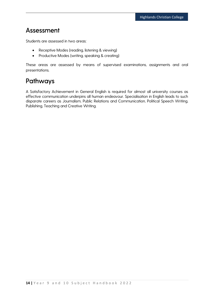### Assessment

Students are assessed in two areas:

- Receptive Modes (reading, listening & viewing)
- Productive Modes (writing, speaking & creating)

These areas are assessed by means of supervised examinations, assignments and oral presentations.

### Pathways

A Satisfactory Achievement in General English is required for almost all university courses as effective communication underpins all human endeavour. Specialisation in English leads to such disparate careers as Journalism, Public Relations and Communication, Political Speech Writing, Publishing, Teaching and Creative Writing.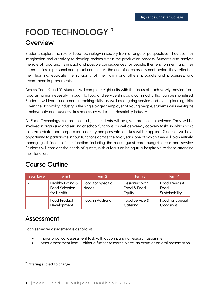### <span id="page-15-0"></span>**FOOD TECHNOLOGY <sup>7</sup>**

### **Overview**

Students explore the role of food technology in society from a range of perspectives. They use their imagination and creativity to develop recipes within the production process. Students also analyse the role of food and its impact and possible consequences for people, their environment, and their communities, in personal and global contexts. At the end of each assessment period, they reflect on their learning, evaluate the suitability of their own and others' products and processes, and recommend improvements.

Across Years 9 and 10, students will complete eight units with the focus of each slowly moving from food as human necessity, through to food and service skills as a commodity that can be monetised. Students will learn fundamental cooking skills, as well as ongoing service and event planning skills. Given the Hospitality Industry is the single biggest employer of young people, students will investigate employability and business skills necessary within the Hospitality Industry.

As Food Technology is a practical subject, students will be given practical experience. They will be involved in organising and serving at school functions, as well as weekly cookery tasks, in which basic to intermediate food preparation, cookery and presentation skills will be applied. Students will have opportunity to participate in four functions across the two years, one of which they will plan entirely, managing all facets of the function, including the menu, guest care, budget, décor and service. Students will consider the needs of guests, with a focus on being truly hospitable to those attending their function.

### Course Outline

| <b>Year Level</b> | Term 1                                                  | Term 2                            | Term 3                                  | Term 4                                  |
|-------------------|---------------------------------------------------------|-----------------------------------|-----------------------------------------|-----------------------------------------|
|                   | Healthy Eating &<br><b>Food Selection</b><br>for Health | Food for Specific<br><b>Needs</b> | Designing with<br>Food & Food<br>Equity | Food Trends &<br>Food<br>Sustainability |
| 10                | Food Product<br>Development                             | Food in Australia!                | Food Service &<br>Catering              | Food for Special<br>Occasions           |

### Assessment

Each semester assessment is as follows:

- 1 major practical assessment task with accompanying research assignment
- 1 other assessment item either a further research piece, an exam or an oral presentation.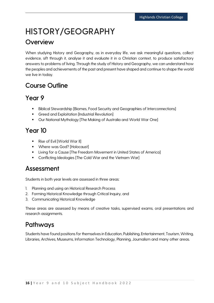### <span id="page-16-0"></span>**HISTORY/GEOGRAPHY**

#### **Overview**

When studying History and Geography, as in everyday life, we ask meaningful questions, collect evidence, sift through it, analyse it and evaluate it in a Christian context, to produce satisfactory answers to problems of living. Through the study of History and Geography, we can understand how the peoples and achievements of the past and present have shaped and continue to shape the world we live in today.

### Course Outline

### Year 9

- Biblical Stewardship [Biomes, Food Security and Geographies of Interconnections]
- **Greed and Exploitation [Industrial Revolution]**
- **Our National Mythology [The Making of Australia and World War One]**

### Year 10

- Rise of Evil [World War II]
- **•** Where was God? [Holocaust]
- **Example 2** Living for a Cause [The Freedom Movement in United States of America]
- **•** Conflicting Ideologies [The Cold War and the Vietnam War]

### Assessment

Students in both year levels are assessed in three areas:

- 1. Planning and using an Historical Research Process
- 2. Forming Historical Knowledge through Critical Inquiry, and
- 3. Communicating Historical Knowledge

These areas are assessed by means of creative tasks, supervised exams, oral presentations and research assignments.

### Pathways

Students have found positions for themselves in Education, Publishing, Entertainment, Tourism, Writing, Libraries, Archives, Museums, Information Technology, Planning, Journalism and many other areas.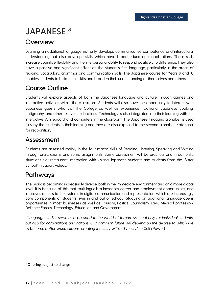### <span id="page-17-0"></span>**JAPANESE <sup>8</sup>**

#### **Overview**

Learning an additional language not only develops communicative competence and intercultural understanding but also develops skills which have broad educational applications. These skills increase cognitive flexibility and the interpersonal ability to respond positively to difference. They also have a positive and significant effect on the student's first language, particularly in the areas of reading, vocabulary, grammar and communication skills. The Japanese course for Years 9 and 10 enables students to build these skills and broaden their understanding of themselves and others.

### Course Outline

Students will explore aspects of both the Japanese language and culture through games and interactive activities within the classroom. Students will also have the opportunity to interact with Japanese guests who visit the College as well as experience traditional Japanese cooking, calligraphy, and other festival celebrations. Technology is also integrated into their learning with the Interactive Whiteboard and computers in the classroom. The Japanese Hiragana alphabet is used fully by the students in their learning and they are also exposed to the second alphabet 'Katakana' for recognition.

### Assessment

Students are assessed mainly in the four macro-skills of Reading, Listening, Speaking and Writing through orals, exams and some assignments. Some assessment will be practical and in authentic situations e.g.: restaurant, interaction with visiting Japanese students and students from the "Sister School" in Japan, videos.

### **Pathways**

The world is becoming increasingly diverse, both in the immediate environment and on a more global level. It is because of this that multilingualism increases career and employment opportunities, and improves access to the systems in digital communication and representation, which are increasingly core components of students' lives in and out of school. Studying an additional language opens opportunities in most businesses as well as Tourism, Politics, Journalism, Law, Medical profession, Defence Forces, Technology, Education and Government.

"*Language studies serve as a 'passport to the world' of tomorrow – not only for individual students, but also for corporations and nations. Our common future will depend on the degree to which we all become better world citizens, creating the unity within diversity*." (Colin Power)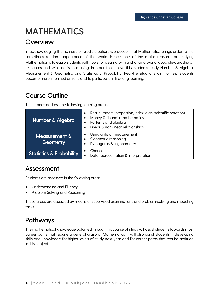### <span id="page-18-0"></span>**MATHEMATICS**

#### **Overview**

In acknowledging the richness of God's creation, we accept that Mathematics brings order to the sometimes random appearance of the world. Hence, one of the major reasons for studying Mathematics is to equip students with tools for dealing with a changing world, good stewardship of resources and wise decision-making. In order to achieve this, students study Number & Algebra, Measurement & Geometry, and Statistics & Probability. Real-life situations aim to help students become more informed citizens and to participate in life-long learning.

### Course Outline

The strands address the following learning areas:

| Number & Algebra                    | Real numbers (proportion, index laws, scientific notation)<br>Money & financial mathematics<br>Patterns and algebra<br>Linear & non-linear relationships<br>$\bullet$ |
|-------------------------------------|-----------------------------------------------------------------------------------------------------------------------------------------------------------------------|
| Measurement &<br>Geometry           | Using units of measurement<br>Geometric reasoning<br>Pythagoras & trigonometry                                                                                        |
| <b>Statistics &amp; Probability</b> | Chance<br>Data representation & interpretation<br>$\bullet$                                                                                                           |

### Assessment

Students are assessed in the following areas:

- Understanding and Fluency
- Problem Solving and Reasoning

These areas are assessed by means of supervised examinations and problem-solving and modelling tasks.

### Pathways

The mathematical knowledge obtained through this course of study will assist students towards most career paths that require a general grasp of Mathematics. It will also assist students in developing skills and knowledge for higher levels of study next year and for career paths that require aptitude in this subject.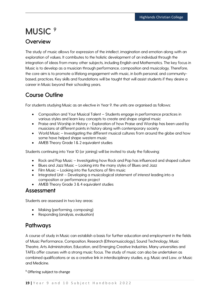### <span id="page-19-0"></span>**MUSIC <sup>9</sup>**

#### **Overview**

The study of music allows for expression of the intellect, imagination and emotion along with an exploration of values. It contributes to the holistic development of an individual through the integration of ideas from many other subjects, including English and Mathematics. The key focus in Music is to develop as a musician through performance, composition and musicology. Therefore, the core aim is to promote a lifelong engagement with music, in both personal, and communitybased, practices. Key skills and foundations will be taught that will assist students if they desire a career in Music beyond their schooling years.

#### Course Outline

For students studying Music as an elective in Year 9, the units are organised as follows:

- Composition and Your Musical Talent Students engage in performance practices in various styles and learn key concepts to create and shape original music
- Praise and Worship in History Exploration of how Praise and Worship has been used by musicians at different points in history along with contemporary society
- World Music Investigating the different musical cultures from around the globe and how some have helped shape western music
- AMEB Theory Grade 1 & 2 equivalent studies

Students continuing into Year 10 (or joining) will be invited to study the following:

- Rock and Pop Music Investigating how Rock and Pop has influenced and shaped culture
- Blues and Jazz Music Looking into the many styles of Blues and Jazz
- Film Music Looking into the functions of film music
- Integrated Unit Developing a musicological statement of interest leading into a composition or performance project
- AMEB Theory Grade 3 & 4 equivalent studies

#### Assessment

Students are assessed in two key areas:

- Making (performing, composing)
- Responding (analysis, evaluation)

#### Pathways

A course of study in Music can establish a basis for further education and employment in the fields of Music Performance, Composition, Research (Ethnomusicology), Sound Technology, Music Theatre, Arts Administration, Education, and Emerging Creative Industries. Many universities and TAFEs offer courses with a strong music focus. The study of music can also be undertaken as combined qualifications or as a creative link in interdisciplinary studies, e.g. Music and Law, or Music and Medicine.

<sup>9</sup> Offering subject to change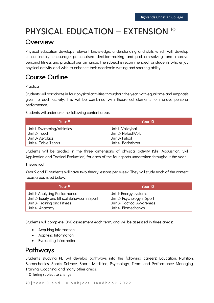### <span id="page-20-0"></span>**PHYSICAL EDUCATION – EXTENSION <sup>10</sup>**

### **Overview**

Physical Education develops relevant knowledge, understanding and skills which will: develop critical inquiry, encourage personalised decision-making and problem-solving, and improve personal fitness and practical performance. The subject is recommended for students who enjoy physical activity and wish to enhance their academic writing and sporting ability.

### Course Outline

#### **Practical**

Students will participate in four physical activities throughout the year, with equal time and emphasis given to each activity. This will be combined with theoretical elements to improve personal performance.

Students will undertake the following content areas:

| Year 9                    | Year 10             |
|---------------------------|---------------------|
| Unit I-Swimming/Athletics | Unit I- Volleyball  |
| Unit 2- Touch             | Unit 2- Netball/AFL |
| Unit 3- Aerobics          | Unit 3- Futsal      |
| Unit 4- Table Tennis      | Unit 4- Badminton   |

Students will be graded in the three dimensions of physical activity (Skill Acquisition, Skill Application and Tactical Evaluation) for each of the four sports undertaken throughout the year.

#### **Theoretical**

Year 9 and 10 students will have two theory lessons per week. They will study each of the content focus areas listed below:

| Year 9                                        | Year 10                           |
|-----------------------------------------------|-----------------------------------|
| Unit I- Analysing Performance                 | Unit I- Energy systems            |
| Unit 2- Equity and Ethical Behaviour in Sport | Unit 2- Psychology in Sport       |
| Unit 3- Training and Fitness                  | <b>Unit 3- Tactical Awareness</b> |
| Unit 4- Anatomy                               | Unit 4- Biomechanics              |

Students will complete ONE assessment each term, and will be assessed in three areas:

- Acquiring Information
- Applying Information
- Evaluating Information

### **Pathways**

Students studying PE will develop pathways into the following careers: Education, Nutrition, Biomechanics, Sports Science, Sports Medicine, Psychology, Team and Performance Managing, Training, Coaching, and many other areas.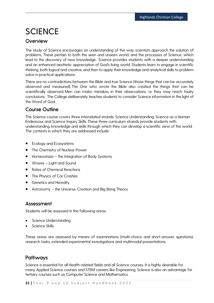### <span id="page-21-0"></span>**SCIENCE**

#### **Overview**

The study of Science encourages an understanding of the way scientists approach the solution of problems. These pertain to both the seen and unseen world, and the processes of Science, which lead to the discovery of new knowledge. Science provides students with a deeper understanding and an enhanced aesthetic appreciation of God's living world. Students learn to engage in scientific thinking, both logical and creative, and then to apply their knowledge and analytical skills to problem solve in practical applications.

There are no contradictions between the Bible and true Science (those things that can be accurately observed and measured). The One who wrote the Bible also created the things that can be scientifically observed. Men can make mistakes in their observations, or they may reach faulty conclusions. The College deliberately teaches students to consider Science information in the light of the Word of God.

#### Course Outline

The Science course covers three interrelated strands: Science Understanding, Science as a Human Endeavour and Science Inquiry Skills. These three curriculum strands provide students with understanding, knowledge and skills through which they can develop a scientific view of the world. The contexts in which they are addressed include:

- Ecology and Ecosystems
- The Chemistry of Nuclear Power
- Homeostasis the Integration of Body Systems
- Waves Light and Sound
- Rates of Chemical Reactions
- The Physics of Car Crashes
- Genetics and Heredity
- Astronomy the Universe, Creation and Big Bang Theory

#### Assessment

Students will be assessed in the following areas:

- Science Understanding
- Science Skills

These areas are assessed by means of examinations (multi-choice and short-answer questions), research tasks, extended experimental investigations and multimodal presentations.

#### Pathways

Science is essential for all Health-related fields and all Science courses. It is highly desirable for many Applied Science courses and STEM careers like Engineering. Science is also an advantage for tertiary courses such as Computer Science and Mathematics.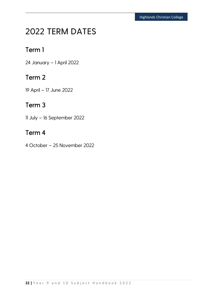### <span id="page-22-0"></span>**2022 TERM DATES**

### Term 1

24 January – 1 April 2022

### Term 2

19 April – 17 June 2022

### Term 3

11 July – 16 September 2022

### Term 4

4 October – 25 November 2022